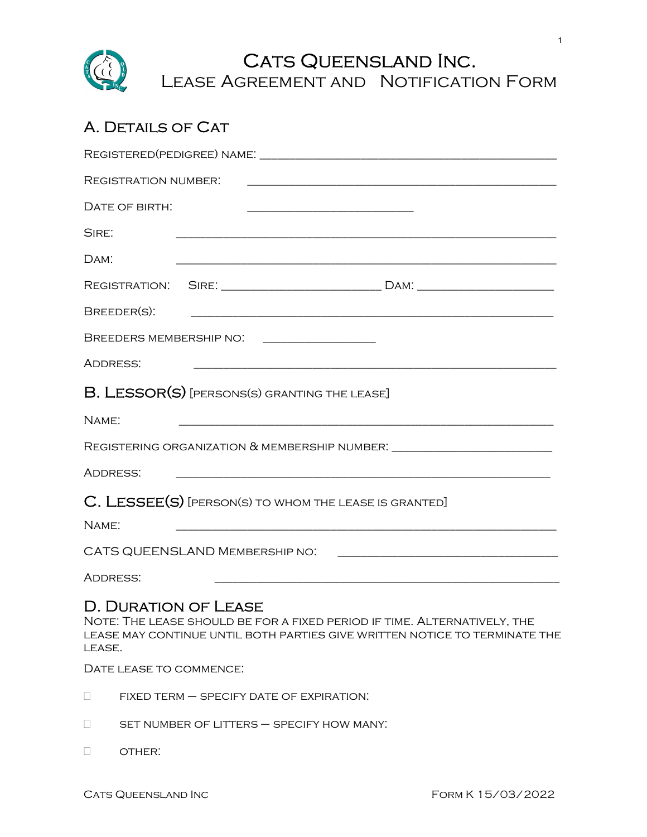

# A. DETAILS OF CAT

|                                       | REGISTERED(PEDIGREE) NAME:                                                                                                                             |  |
|---------------------------------------|--------------------------------------------------------------------------------------------------------------------------------------------------------|--|
| REGISTRATION NUMBER.                  | <u> 1989 - Johann Barn, mars and de Brasilian (b. 1989)</u>                                                                                            |  |
| DATE OF BIRTH:                        |                                                                                                                                                        |  |
| SIRE:                                 |                                                                                                                                                        |  |
| $DAM$ :                               |                                                                                                                                                        |  |
|                                       |                                                                                                                                                        |  |
| BREEDER(S):                           |                                                                                                                                                        |  |
|                                       |                                                                                                                                                        |  |
| ADDRESS:                              | <u> 1989 - Johann Stein, marwolaethau a bhann an t-Amhainn an t-Amhainn an t-Amhainn an t-Amhainn an t-Amhainn an</u>                                  |  |
|                                       | B. LESSOR(S) [PERSONS(S) GRANTING THE LEASE]                                                                                                           |  |
| NAME:                                 |                                                                                                                                                        |  |
|                                       | REGISTERING ORGANIZATION & MEMBERSHIP NUMBER: __________________________________                                                                       |  |
| ADDRESS:                              |                                                                                                                                                        |  |
|                                       | C. LESSEE(S) [PERSON(S) TO WHOM THE LEASE IS GRANTED]                                                                                                  |  |
| NAME:                                 |                                                                                                                                                        |  |
|                                       |                                                                                                                                                        |  |
| ADDRESS:                              |                                                                                                                                                        |  |
| <b>D. DURATION OF LEASE</b><br>LEASE. | NOTE: THE LEASE SHOULD BE FOR A FIXED PERIOD IF TIME. ALTERNATIVELY, THE<br>LEASE MAY CONTINUE UNTIL BOTH PARTIES GIVE WRITTEN NOTICE TO TERMINATE THE |  |
| DATE LEASE TO COMMENCE.               |                                                                                                                                                        |  |

- $\Box$  FIXED TERM  $-$  SPECIFY DATE OF EXPIRATION:
- set number of litters specify how many:
- D OTHER: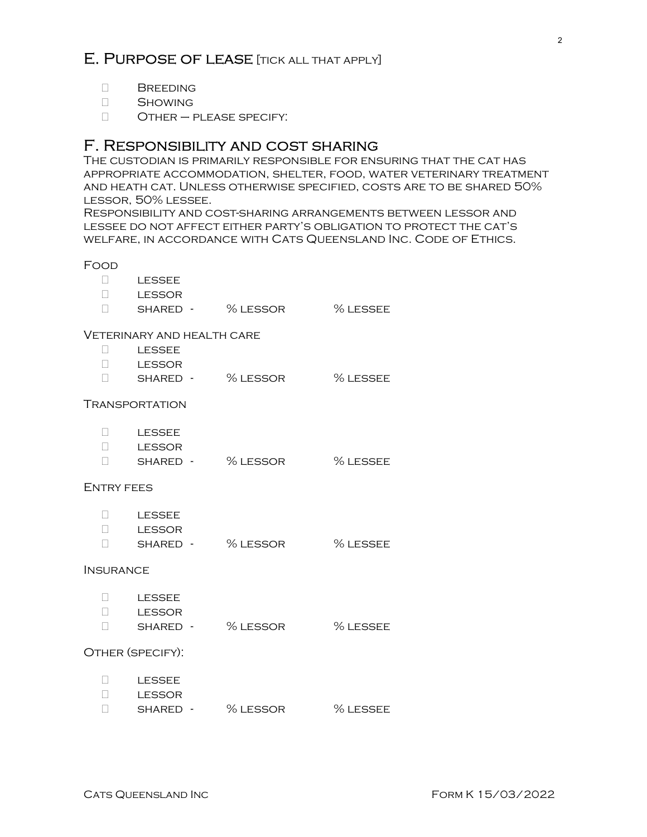## E. PURPOSE OF LEASE [TICK ALL THAT APPLY]

2

- **D** BREEDING
- Showing
- Other please specify:

### F. Responsibility and cost sharing

The custodian is primarily responsible for ensuring that the cat has appropriate accommodation, shelter, food, water veterinary treatment and heath cat. Unless otherwise specified, costs are to be shared 50% lessor, 50% lessee.

Responsibility and cost-sharing arrangements between lessor and lessee do not affect either party's obligation to protect the cat's welfare, in accordance with Cats Queensland Inc. Code of Ethics.

#### Food

| L OOD                      |                   |                              |          |  |
|----------------------------|-------------------|------------------------------|----------|--|
|                            | $\square$ LESSEE  |                              |          |  |
|                            | <b>LESSOR</b>     |                              |          |  |
| П.                         |                   | SHARED - % LESSOR % LESSEE   |          |  |
| VETERINARY AND HEALTH CARE |                   |                              |          |  |
| $\Box$                     | <b>LESSEE</b>     |                              |          |  |
|                            | <b>LESSOR</b>     |                              |          |  |
|                            |                   | SHARED - % LESSOR % LESSEE   |          |  |
| TRANSPORTATION             |                   |                              |          |  |
|                            | LESSEE            |                              |          |  |
|                            | <b>LESSOR</b>     |                              |          |  |
|                            |                   | □ SHARED - % LESSOR % LESSEE |          |  |
| <b>ENTRY FEES</b>          |                   |                              |          |  |
|                            | $\Box$ LESSEE     |                              |          |  |
|                            | <b>LESSOR</b>     |                              |          |  |
|                            |                   | SHARED - % LESSOR % LESSEE   |          |  |
| <b>INSURANCE</b>           |                   |                              |          |  |
|                            | $L$ LESSEE        |                              |          |  |
|                            | <b>LESSOR</b>     |                              |          |  |
| П                          | SHARED - % LESSOR |                              | % LESSEE |  |
| OTHER (SPECIFY):           |                   |                              |          |  |
| $\Box$                     | LESSEE            |                              |          |  |
| $\Box$                     | LESSOR            |                              |          |  |
| $\Box$                     | SHARED -          | % LESSOR                     | % LESSEE |  |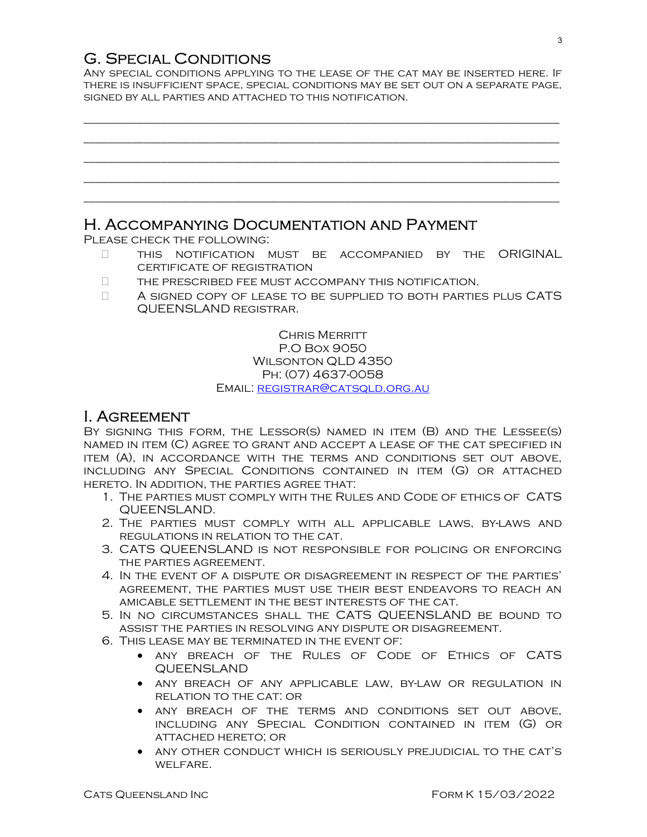## G. Special Conditions

Any special conditions applying to the lease of the cat may be inserted here. If there is insufficient space, special conditions may be set out on a separate page, signed by all parties and attached to this notification.

\_\_\_\_\_\_\_\_\_\_\_\_\_\_\_\_\_\_\_\_\_\_\_\_\_\_\_\_\_\_\_\_\_\_\_\_\_\_\_\_\_\_\_\_\_\_\_\_\_\_\_\_\_\_\_\_\_\_\_\_\_\_\_\_\_\_\_\_\_\_\_\_\_\_\_\_\_\_\_\_

## \_\_\_\_\_\_\_\_\_\_\_\_\_\_\_\_\_\_\_\_\_\_\_\_\_\_\_\_\_\_\_\_\_\_\_\_\_\_\_\_\_\_\_\_\_\_\_\_\_\_\_\_\_\_\_\_\_\_\_\_\_\_\_\_\_\_\_\_\_\_\_\_\_\_\_\_\_\_\_\_ \_\_\_\_\_\_\_\_\_\_\_\_\_\_\_\_\_\_\_\_\_\_\_\_\_\_\_\_\_\_\_\_\_\_\_\_\_\_\_\_\_\_\_\_\_\_\_\_\_\_\_\_\_\_\_\_\_\_\_\_\_\_\_\_\_\_\_\_\_\_\_\_\_\_\_\_\_\_\_\_ \_\_\_\_\_\_\_\_\_\_\_\_\_\_\_\_\_\_\_\_\_\_\_\_\_\_\_\_\_\_\_\_\_\_\_\_\_\_\_\_\_\_\_\_\_\_\_\_\_\_\_\_\_\_\_\_\_\_\_\_\_\_\_\_\_\_\_\_\_\_\_\_\_\_\_\_\_\_\_\_ \_\_\_\_\_\_\_\_\_\_\_\_\_\_\_\_\_\_\_\_\_\_\_\_\_\_\_\_\_\_\_\_\_\_\_\_\_\_\_\_\_\_\_\_\_\_\_\_\_\_\_\_\_\_\_\_\_\_\_\_\_\_\_\_\_\_\_\_\_\_\_\_\_\_\_\_\_\_\_\_

### H. Accompanying Documentation and Payment

Please check the following:

- $\Box$  This notification must be accompanied by the ORIGINAL certificate of registration
- $\Box$  THE PRESCRIBED FEE MUST ACCOMPANY THIS NOTIFICATION.
- A signed copy of lease to be supplied to both parties plus CATS QUEENSLAND registrar.

CHRIS MERRITT P.O Box 9050 Wilsonton QLD 4350 Ph: (07) 4637-0058 Email: registrar@catsqld.org.au

### I. Agreement

BY SIGNING THIS FORM, THE LESSOR(S) NAMED IN ITEM (B) AND THE LESSEE(S) named in item (C) agree to grant and accept a lease of the cat specified in item (A), in accordance with the terms and conditions set out above, including any Special Conditions contained in item (G) or attached hereto. In addition, the parties agree that:

- 1. The parties must comply with the Rules and Code of ethics of CATS QUEENSLAND.
- 2. The parties must comply with all applicable laws, by-laws and regulations in relation to the cat.
- 3. CATS QUEENSLAND is not responsible for policing or enforcing the parties agreement.
- 4. In the event of a dispute or disagreement in respect of the parties' agreement, the parties must use their best endeavors to reach an amicable settlement in the best interests of the cat.
- 5. In no circumstances shall the CATS QUEENSLAND be bound to assist the parties in resolving any dispute or disagreement.
- 6. This lease may be terminated in the event of:
	- any breach of the Rules of Code of Ethics of CATS QUEENSLAND
	- any breach of any applicable law, by-law or regulation in relation to the cat: or
	- any breach of the terms and conditions set out above, including any Special Condition contained in item (G) or attached hereto; or
	- any other conduct which is seriously prejudicial to the cat's WELFARE.